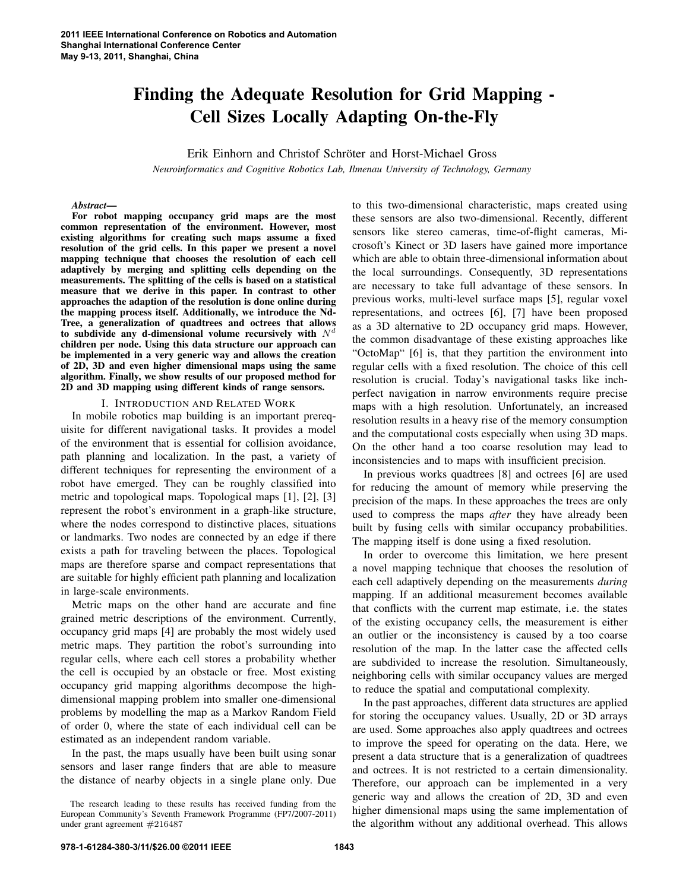# Finding the Adequate Resolution for Grid Mapping - Cell Sizes Locally Adapting On-the-Fly

Erik Einhorn and Christof Schröter and Horst-Michael Gross

*Neuroinformatics and Cognitive Robotics Lab, Ilmenau University of Technology, Germany*

#### *Abstract*—

For robot mapping occupancy grid maps are the most common representation of the environment. However, most existing algorithms for creating such maps assume a fixed resolution of the grid cells. In this paper we present a novel mapping technique that chooses the resolution of each cell adaptively by merging and splitting cells depending on the measurements. The splitting of the cells is based on a statistical measure that we derive in this paper. In contrast to other approaches the adaption of the resolution is done online during the mapping process itself. Additionally, we introduce the Nd-Tree, a generalization of quadtrees and octrees that allows to subdivide any d-dimensional volume recursively with  $N^d$ children per node. Using this data structure our approach can be implemented in a very generic way and allows the creation of 2D, 3D and even higher dimensional maps using the same algorithm. Finally, we show results of our proposed method for 2D and 3D mapping using different kinds of range sensors.

#### I. INTRODUCTION AND RELATED WORK

In mobile robotics map building is an important prerequisite for different navigational tasks. It provides a model of the environment that is essential for collision avoidance, path planning and localization. In the past, a variety of different techniques for representing the environment of a robot have emerged. They can be roughly classified into metric and topological maps. Topological maps [1], [2], [3] represent the robot's environment in a graph-like structure, where the nodes correspond to distinctive places, situations or landmarks. Two nodes are connected by an edge if there exists a path for traveling between the places. Topological maps are therefore sparse and compact representations that are suitable for highly efficient path planning and localization in large-scale environments.

Metric maps on the other hand are accurate and fine grained metric descriptions of the environment. Currently, occupancy grid maps [4] are probably the most widely used metric maps. They partition the robot's surrounding into regular cells, where each cell stores a probability whether the cell is occupied by an obstacle or free. Most existing occupancy grid mapping algorithms decompose the highdimensional mapping problem into smaller one-dimensional problems by modelling the map as a Markov Random Field of order 0, where the state of each individual cell can be estimated as an independent random variable.

In the past, the maps usually have been built using sonar sensors and laser range finders that are able to measure the distance of nearby objects in a single plane only. Due to this two-dimensional characteristic, maps created using these sensors are also two-dimensional. Recently, different sensors like stereo cameras, time-of-flight cameras, Microsoft's Kinect or 3D lasers have gained more importance which are able to obtain three-dimensional information about the local surroundings. Consequently, 3D representations are necessary to take full advantage of these sensors. In previous works, multi-level surface maps [5], regular voxel representations, and octrees [6], [7] have been proposed as a 3D alternative to 2D occupancy grid maps. However, the common disadvantage of these existing approaches like "OctoMap" [6] is, that they partition the environment into regular cells with a fixed resolution. The choice of this cell resolution is crucial. Today's navigational tasks like inchperfect navigation in narrow environments require precise maps with a high resolution. Unfortunately, an increased resolution results in a heavy rise of the memory consumption and the computational costs especially when using 3D maps. On the other hand a too coarse resolution may lead to inconsistencies and to maps with insufficient precision.

In previous works quadtrees [8] and octrees [6] are used for reducing the amount of memory while preserving the precision of the maps. In these approaches the trees are only used to compress the maps *after* they have already been built by fusing cells with similar occupancy probabilities. The mapping itself is done using a fixed resolution.

In order to overcome this limitation, we here present a novel mapping technique that chooses the resolution of each cell adaptively depending on the measurements *during* mapping. If an additional measurement becomes available that conflicts with the current map estimate, i.e. the states of the existing occupancy cells, the measurement is either an outlier or the inconsistency is caused by a too coarse resolution of the map. In the latter case the affected cells are subdivided to increase the resolution. Simultaneously, neighboring cells with similar occupancy values are merged to reduce the spatial and computational complexity.

In the past approaches, different data structures are applied for storing the occupancy values. Usually, 2D or 3D arrays are used. Some approaches also apply quadtrees and octrees to improve the speed for operating on the data. Here, we present a data structure that is a generalization of quadtrees and octrees. It is not restricted to a certain dimensionality. Therefore, our approach can be implemented in a very generic way and allows the creation of 2D, 3D and even higher dimensional maps using the same implementation of the algorithm without any additional overhead. This allows

The research leading to these results has received funding from the European Community's Seventh Framework Programme (FP7/2007-2011) under grant agreement #216487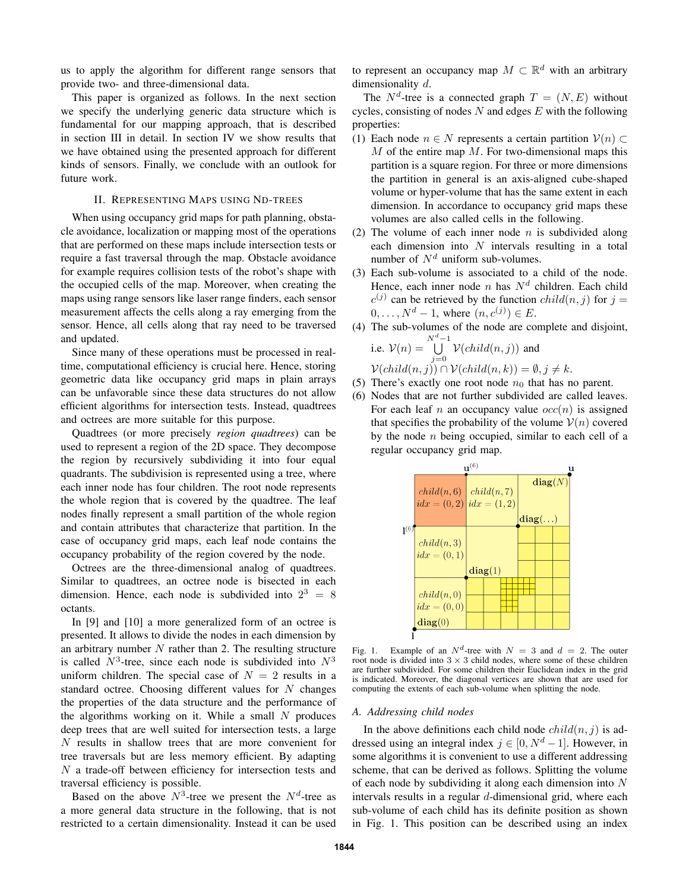us to apply the algorithm for different range sensors that provide two- and three-dimensional data.

This paper is organized as follows. In the next section we specify the underlying generic data structure which is fundamental for our mapping approach, that is described in section III in detail. In section IV we show results that we have obtained using the presented approach for different kinds of sensors. Finally, we conclude with an outlook for future work.

# II. REPRESENTING MAPS USING ND-TREES

When using occupancy grid maps for path planning, obstacle avoidance, localization or mapping most of the operations that are performed on these maps include intersection tests or require a fast traversal through the map. Obstacle avoidance for example requires collision tests of the robot's shape with the occupied cells of the map. Moreover, when creating the maps using range sensors like laser range finders, each sensor measurement affects the cells along a ray emerging from the sensor. Hence, all cells along that ray need to be traversed and updated.

Since many of these operations must be processed in realtime, computational efficiency is crucial here. Hence, storing geometric data like occupancy grid maps in plain arrays can be unfavorable since these data structures do not allow efficient algorithms for intersection tests. Instead, quadtrees and octrees are more suitable for this purpose.

Quadtrees (or more precisely *region quadtrees*) can be used to represent a region of the 2D space. They decompose the region by recursively subdividing it into four equal quadrants. The subdivision is represented using a tree, where each inner node has four children. The root node represents the whole region that is covered by the quadtree. The leaf nodes finally represent a small partition of the whole region and contain attributes that characterize that partition. In the case of occupancy grid maps, each leaf node contains the occupancy probability of the region covered by the node.

Octrees are the three-dimensional analog of quadtrees. Similar to quadtrees, an octree node is bisected in each dimension. Hence, each node is subdivided into  $2^3 = 8$ octants.

In [9] and [10] a more generalized form of an octree is presented. It allows to divide the nodes in each dimension by an arbitrary number  $N$  rather than 2. The resulting structure is called  $N^3$ -tree, since each node is subdivided into  $N^3$ uniform children. The special case of  $N = 2$  results in a standard octree. Choosing different values for  $N$  changes the properties of the data structure and the performance of the algorithms working on it. While a small  $N$  produces deep trees that are well suited for intersection tests, a large N results in shallow trees that are more convenient for tree traversals but are less memory efficient. By adapting N a trade-off between efficiency for intersection tests and traversal efficiency is possible.

Based on the above  $N^3$ -tree we present the  $N^d$ -tree as a more general data structure in the following, that is not restricted to a certain dimensionality. Instead it can be used

to represent an occupancy map  $M \subset \mathbb{R}^d$  with an arbitrary dimensionality d.

The  $N^d$ -tree is a connected graph  $T = (N, E)$  without cycles, consisting of nodes  $N$  and edges  $E$  with the following properties:

- (1) Each node  $n \in N$  represents a certain partition  $V(n) \subset$  $M$  of the entire map  $M$ . For two-dimensional maps this partition is a square region. For three or more dimensions the partition in general is an axis-aligned cube-shaped volume or hyper-volume that has the same extent in each dimension. In accordance to occupancy grid maps these volumes are also called cells in the following.
- (2) The volume of each inner node  $n$  is subdivided along each dimension into  $N$  intervals resulting in a total number of  $N<sup>d</sup>$  uniform sub-volumes.
- (3) Each sub-volume is associated to a child of the node. Hence, each inner node  $n$  has  $N<sup>d</sup>$  children. Each child  $c^{(j)}$  can be retrieved by the function  $child(n, j)$  for  $j =$  $0, \ldots, N^d - 1$ , where  $(n, c^{(j)}) \in E$ .
- (4) The sub-volumes of the node are complete and disjoint, i.e.  $V(n) = \bigcup_{n=1}^{\infty}$  $N^d-1$  $\bigcup_{j=0}$   $\mathcal{V}(child(n,j))$  and  $\mathcal{V}(child(n,j)) \cap \mathcal{V}(child(n,k)) = \emptyset, j \neq k.$
- (5) There's exactly one root node  $n_0$  that has no parent.
- (6) Nodes that are not further subdivided are called leaves. For each leaf n an occupancy value  $occ(n)$  is assigned that specifies the probability of the volume  $V(n)$  covered by the node  $n$  being occupied, similar to each cell of a regular occupancy grid map.



Fig. 1. Example of an  $N^d$ -tree with  $N = 3$  and  $d = 2$ . The outer root node is divided into  $3 \times 3$  child nodes, where some of these children are further subdivided. For some children their Euclidean index in the grid is indicated. Moreover, the diagonal vertices are shown that are used for computing the extents of each sub-volume when splitting the node.

#### *A. Addressing child nodes*

In the above definitions each child node  $child(n, j)$  is addressed using an integral index  $j \in [0, N<sup>d</sup> - 1]$ . However, in some algorithms it is convenient to use a different addressing scheme, that can be derived as follows. Splitting the volume of each node by subdividing it along each dimension into N intervals results in a regular d-dimensional grid, where each sub-volume of each child has its definite position as shown in Fig. 1. This position can be described using an index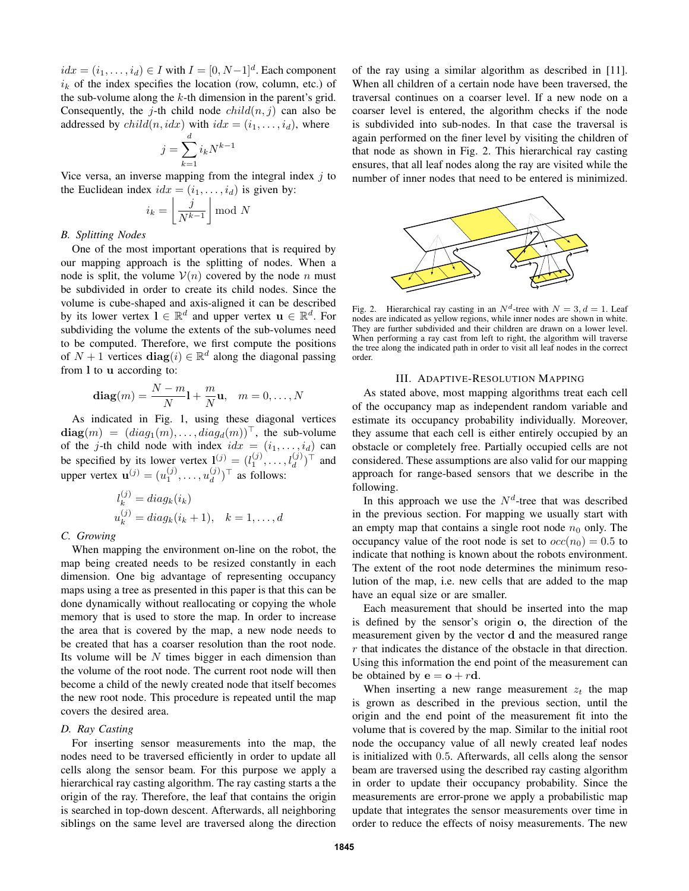$idx = (i_1, \ldots, i_d) \in I$  with  $I = [0, N-1]^d$ . Each component  $i_k$  of the index specifies the location (row, column, etc.) of the sub-volume along the  $k$ -th dimension in the parent's grid. Consequently, the j-th child node  $child(n, j)$  can also be addressed by  $child(n, idx)$  with  $idx = (i_1, \ldots, i_d)$ , where

$$
j = \sum_{k=1}^{d} i_k N^{k-1}
$$

Vice versa, an inverse mapping from the integral index  $j$  to the Euclidean index  $idx = (i_1, \ldots, i_d)$  is given by:

$$
i_k = \left\lfloor \frac{j}{N^{k-1}} \right\rfloor \mod N
$$

# *B. Splitting Nodes*

One of the most important operations that is required by our mapping approach is the splitting of nodes. When a node is split, the volume  $V(n)$  covered by the node n must be subdivided in order to create its child nodes. Since the volume is cube-shaped and axis-aligned it can be described by its lower vertex  $\mathbf{l} \in \mathbb{R}^d$  and upper vertex  $\mathbf{u} \in \mathbb{R}^d$ . For subdividing the volume the extents of the sub-volumes need to be computed. Therefore, we first compute the positions of  $N + 1$  vertices  $diag(i) \in \mathbb{R}^d$  along the diagonal passing from l to u according to:

$$
\mathbf{diag}(m) = \frac{N-m}{N} \mathbf{l} + \frac{m}{N} \mathbf{u}, \quad m = 0, \dots, N
$$

As indicated in Fig. 1, using these diagonal vertices  $diag(m) = (diag_1(m), \ldots, diag_d(m))^\top$ , the sub-volume of the j-th child node with index  $idx = (i_1, \ldots, i_d)$  can be specified by its lower vertex  $\mathbf{l}^{(j)} = (l_1^{(j)}, \dots, l_d^{(j)})^\top$  and upper vertex  $\mathbf{u}^{(j)} = (u_1^{(j)}, \dots, u_d^{(j)})$  $\binom{-(j)}{d}^{\top}$  as follows:

$$
l_k^{(j)} = diag_k(i_k)
$$
  

$$
u_k^{(j)} = diag_k(i_k + 1), \quad k = 1, ..., d
$$

## *C. Growing*

When mapping the environment on-line on the robot, the map being created needs to be resized constantly in each dimension. One big advantage of representing occupancy maps using a tree as presented in this paper is that this can be done dynamically without reallocating or copying the whole memory that is used to store the map. In order to increase the area that is covered by the map, a new node needs to be created that has a coarser resolution than the root node. Its volume will be  $N$  times bigger in each dimension than the volume of the root node. The current root node will then become a child of the newly created node that itself becomes the new root node. This procedure is repeated until the map covers the desired area.

## *D. Ray Casting*

For inserting sensor measurements into the map, the nodes need to be traversed efficiently in order to update all cells along the sensor beam. For this purpose we apply a hierarchical ray casting algorithm. The ray casting starts a the origin of the ray. Therefore, the leaf that contains the origin is searched in top-down descent. Afterwards, all neighboring siblings on the same level are traversed along the direction

of the ray using a similar algorithm as described in [11]. When all children of a certain node have been traversed, the traversal continues on a coarser level. If a new node on a coarser level is entered, the algorithm checks if the node is subdivided into sub-nodes. In that case the traversal is again performed on the finer level by visiting the children of that node as shown in Fig. 2. This hierarchical ray casting ensures, that all leaf nodes along the ray are visited while the number of inner nodes that need to be entered is minimized.



Fig. 2. Hierarchical ray casting in an  $N^d$ -tree with  $N = 3, d = 1$ . Leaf nodes are indicated as yellow regions, while inner nodes are shown in white. They are further subdivided and their children are drawn on a lower level. When performing a ray cast from left to right, the algorithm will traverse the tree along the indicated path in order to visit all leaf nodes in the correct order.

#### III. ADAPTIVE-RESOLUTION MAPPING

As stated above, most mapping algorithms treat each cell of the occupancy map as independent random variable and estimate its occupancy probability individually. Moreover, they assume that each cell is either entirely occupied by an obstacle or completely free. Partially occupied cells are not considered. These assumptions are also valid for our mapping approach for range-based sensors that we describe in the following.

In this approach we use the  $N^d$ -tree that was described in the previous section. For mapping we usually start with an empty map that contains a single root node  $n_0$  only. The occupancy value of the root node is set to  $occ(n_0) = 0.5$  to indicate that nothing is known about the robots environment. The extent of the root node determines the minimum resolution of the map, i.e. new cells that are added to the map have an equal size or are smaller.

Each measurement that should be inserted into the map is defined by the sensor's origin o, the direction of the measurement given by the vector d and the measured range r that indicates the distance of the obstacle in that direction. Using this information the end point of the measurement can be obtained by  $e = o + rd$ .

When inserting a new range measurement  $z_t$  the map is grown as described in the previous section, until the origin and the end point of the measurement fit into the volume that is covered by the map. Similar to the initial root node the occupancy value of all newly created leaf nodes is initialized with 0.5. Afterwards, all cells along the sensor beam are traversed using the described ray casting algorithm in order to update their occupancy probability. Since the measurements are error-prone we apply a probabilistic map update that integrates the sensor measurements over time in order to reduce the effects of noisy measurements. The new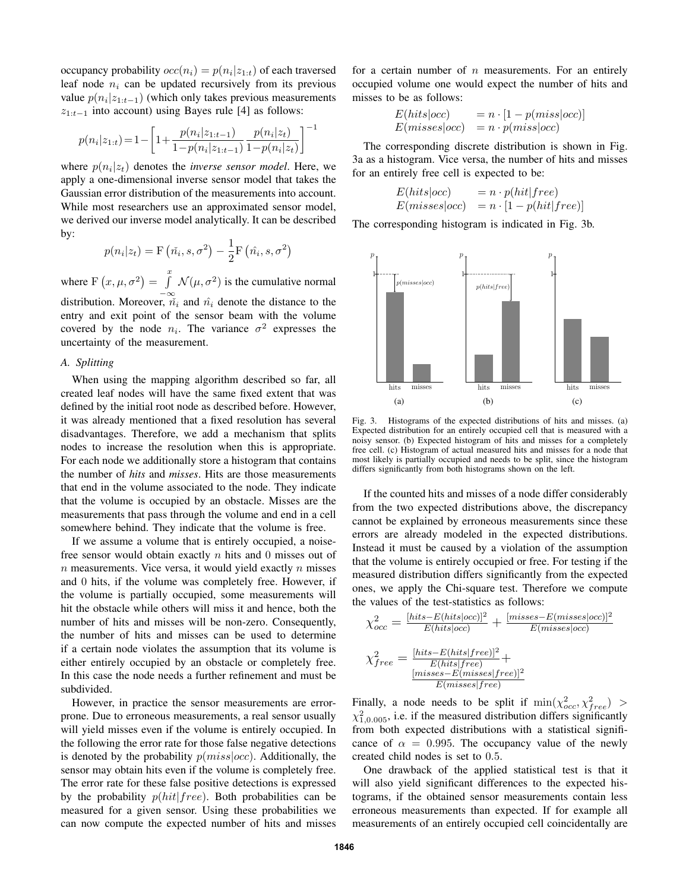occupancy probability  $occ(n_i) = p(n_i|z_{1:t})$  of each traversed leaf node  $n_i$  can be updated recursively from its previous value  $p(n_i|z_{1:t-1})$  (which only takes previous measurements  $z_{1:t-1}$  into account) using Bayes rule [4] as follows:

$$
p(n_i|z_{1:t})\!=\!1\!-\!\left[1\!+\!\frac{p(n_i|z_{1:t-1})}{1\!-\!p(n_i|z_{1:t-1})}\frac{p(n_i|z_t)}{1\!-\!p(n_i|z_t)}\right]^{-1}
$$

where  $p(n_i|z_t)$  denotes the *inverse sensor model*. Here, we apply a one-dimensional inverse sensor model that takes the Gaussian error distribution of the measurements into account. While most researchers use an approximated sensor model, we derived our inverse model analytically. It can be described by:

$$
p(n_i|z_t) = \mathbf{F}\left(\tilde{n}_i, s, \sigma^2\right) - \frac{1}{2}\mathbf{F}\left(\hat{n}_i, s, \sigma^2\right)
$$

where  $F(x, \mu, \sigma^2) = \int_a^x \mathcal{N}(\mu, \sigma^2)$  is the cumulative normal distribution. Moreover,  $\vec{n_i}$  and  $\hat{n_i}$  denote the distance to the entry and exit point of the sensor beam with the volume covered by the node  $n_i$ . The variance  $\sigma^2$  expresses the uncertainty of the measurement.

### *A. Splitting*

When using the mapping algorithm described so far, all created leaf nodes will have the same fixed extent that was defined by the initial root node as described before. However, it was already mentioned that a fixed resolution has several disadvantages. Therefore, we add a mechanism that splits nodes to increase the resolution when this is appropriate. For each node we additionally store a histogram that contains the number of *hits* and *misses*. Hits are those measurements that end in the volume associated to the node. They indicate that the volume is occupied by an obstacle. Misses are the measurements that pass through the volume and end in a cell somewhere behind. They indicate that the volume is free.

If we assume a volume that is entirely occupied, a noisefree sensor would obtain exactly  $n$  hits and 0 misses out of  $n$  measurements. Vice versa, it would yield exactly  $n$  misses and 0 hits, if the volume was completely free. However, if the volume is partially occupied, some measurements will hit the obstacle while others will miss it and hence, both the number of hits and misses will be non-zero. Consequently, the number of hits and misses can be used to determine if a certain node violates the assumption that its volume is either entirely occupied by an obstacle or completely free. In this case the node needs a further refinement and must be subdivided.

However, in practice the sensor measurements are errorprone. Due to erroneous measurements, a real sensor usually will yield misses even if the volume is entirely occupied. In the following the error rate for those false negative detections is denoted by the probability  $p(miss|occ)$ . Additionally, the sensor may obtain hits even if the volume is completely free. The error rate for these false positive detections is expressed by the probability  $p(hit|free)$ . Both probabilities can be measured for a given sensor. Using these probabilities we can now compute the expected number of hits and misses for a certain number of  $n$  measurements. For an entirely occupied volume one would expect the number of hits and misses to be as follows:

$$
E(hits|occ) = n \cdot [1 - p(miss|occ)]
$$
  

$$
E(misse|occ) = n \cdot p(miss|occ)
$$

The corresponding discrete distribution is shown in Fig. 3a as a histogram. Vice versa, the number of hits and misses for an entirely free cell is expected to be:

$$
E(hits|occ) = n \cdot p(hit|free)
$$
  

$$
E(misses|occ) = n \cdot [1 - p(hit|free)]
$$

The corresponding histogram is indicated in Fig. 3b.



Fig. 3. Histograms of the expected distributions of hits and misses. (a) Expected distribution for an entirely occupied cell that is measured with a noisy sensor. (b) Expected histogram of hits and misses for a completely free cell. (c) Histogram of actual measured hits and misses for a node that most likely is partially occupied and needs to be split, since the histogram differs significantly from both histograms shown on the left.

If the counted hits and misses of a node differ considerably from the two expected distributions above, the discrepancy cannot be explained by erroneous measurements since these errors are already modeled in the expected distributions. Instead it must be caused by a violation of the assumption that the volume is entirely occupied or free. For testing if the measured distribution differs significantly from the expected ones, we apply the Chi-square test. Therefore we compute the values of the test-statistics as follows:

$$
\chi_{occ}^{2} = \frac{[hits - E(hits|occ)]^{2}}{E(hits|occ)} + \frac{[misses - E(misses|occ)]^{2}}{E(misses|occ)}
$$

$$
\chi_{free}^{2} = \frac{[hits - E(hits|free)]^{2}}{E(hits|free)} + \frac{[misses - E(misses|free)]^{2}}{E(misses|free)|^{2}}
$$

Finally, a node needs to be split if  $\min(\chi^2_{occ}, \chi^2_{free}) >$  $\chi_{1,0.005}^2$ , i.e. if the measured distribution differs significantly from both expected distributions with a statistical significance of  $\alpha = 0.995$ . The occupancy value of the newly created child nodes is set to 0.5.

One drawback of the applied statistical test is that it will also yield significant differences to the expected histograms, if the obtained sensor measurements contain less erroneous measurements than expected. If for example all measurements of an entirely occupied cell coincidentally are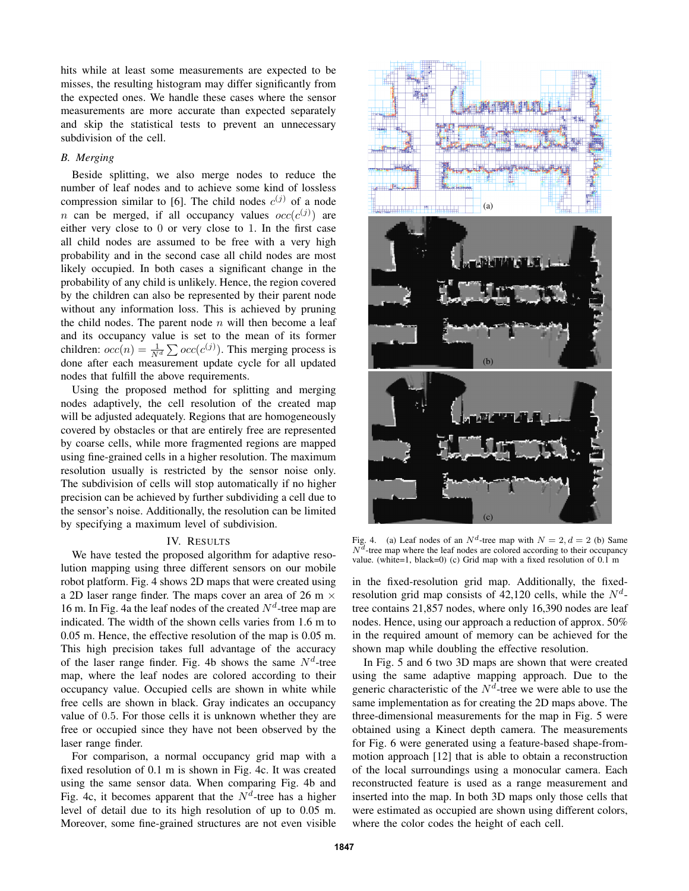hits while at least some measurements are expected to be misses, the resulting histogram may differ significantly from the expected ones. We handle these cases where the sensor measurements are more accurate than expected separately and skip the statistical tests to prevent an unnecessary subdivision of the cell.

# *B. Merging*

Beside splitting, we also merge nodes to reduce the number of leaf nodes and to achieve some kind of lossless compression similar to [6]. The child nodes  $c^{(j)}$  of a node *n* can be merged, if all occupancy values  $occ(c^{(j)})$  are either very close to 0 or very close to 1. In the first case all child nodes are assumed to be free with a very high probability and in the second case all child nodes are most likely occupied. In both cases a significant change in the probability of any child is unlikely. Hence, the region covered by the children can also be represented by their parent node without any information loss. This is achieved by pruning the child nodes. The parent node  $n$  will then become a leaf and its occupancy value is set to the mean of its former children:  $occ(n) = \frac{1}{N^d} \sum occ(c^{(j)})$ . This merging process is done after each measurement update cycle for all updated nodes that fulfill the above requirements.

Using the proposed method for splitting and merging nodes adaptively, the cell resolution of the created map will be adjusted adequately. Regions that are homogeneously covered by obstacles or that are entirely free are represented by coarse cells, while more fragmented regions are mapped using fine-grained cells in a higher resolution. The maximum resolution usually is restricted by the sensor noise only. The subdivision of cells will stop automatically if no higher precision can be achieved by further subdividing a cell due to the sensor's noise. Additionally, the resolution can be limited by specifying a maximum level of subdivision.

## IV. RESULTS

We have tested the proposed algorithm for adaptive resolution mapping using three different sensors on our mobile robot platform. Fig. 4 shows 2D maps that were created using a 2D laser range finder. The maps cover an area of 26 m  $\times$ 16 m. In Fig. 4a the leaf nodes of the created  $N<sup>d</sup>$ -tree map are indicated. The width of the shown cells varies from 1.6 m to 0.05 m. Hence, the effective resolution of the map is 0.05 m. This high precision takes full advantage of the accuracy of the laser range finder. Fig. 4b shows the same  $N^d$ -tree map, where the leaf nodes are colored according to their occupancy value. Occupied cells are shown in white while free cells are shown in black. Gray indicates an occupancy value of 0.5. For those cells it is unknown whether they are free or occupied since they have not been observed by the laser range finder.

For comparison, a normal occupancy grid map with a fixed resolution of 0.1 m is shown in Fig. 4c. It was created using the same sensor data. When comparing Fig. 4b and Fig. 4c, it becomes apparent that the  $N<sup>d</sup>$ -tree has a higher level of detail due to its high resolution of up to 0.05 m. Moreover, some fine-grained structures are not even visible



Fig. 4. (a) Leaf nodes of an  $N^d$ -tree map with  $N = 2, d = 2$  (b) Same  $N<sup>d</sup>$ -tree map where the leaf nodes are colored according to their occupancy value. (white=1, black=0) (c) Grid map with a fixed resolution of  $0.1 \text{ m}$ 

in the fixed-resolution grid map. Additionally, the fixedresolution grid map consists of 42,120 cells, while the  $N^d$ tree contains 21,857 nodes, where only 16,390 nodes are leaf nodes. Hence, using our approach a reduction of approx. 50% in the required amount of memory can be achieved for the shown map while doubling the effective resolution.

In Fig. 5 and 6 two 3D maps are shown that were created using the same adaptive mapping approach. Due to the generic characteristic of the  $N<sup>d</sup>$ -tree we were able to use the same implementation as for creating the 2D maps above. The three-dimensional measurements for the map in Fig. 5 were obtained using a Kinect depth camera. The measurements for Fig. 6 were generated using a feature-based shape-frommotion approach [12] that is able to obtain a reconstruction of the local surroundings using a monocular camera. Each reconstructed feature is used as a range measurement and inserted into the map. In both 3D maps only those cells that were estimated as occupied are shown using different colors, where the color codes the height of each cell.